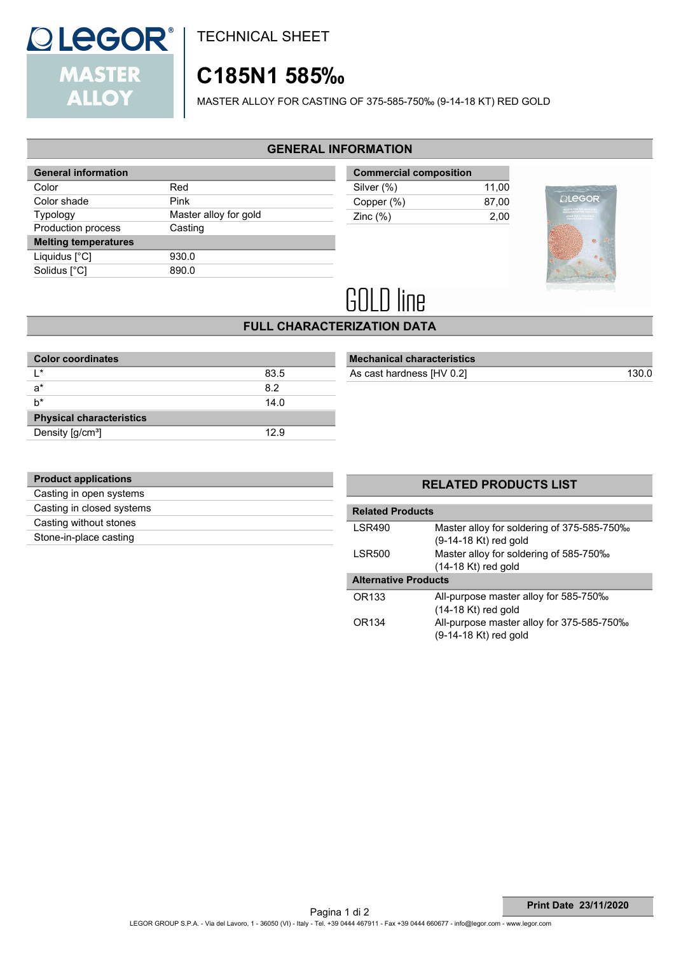

TECHNICAL SHEET

# **C185N1 585‰**

MASTER ALLOY FOR CASTING OF 375-585-750‰ (9-14-18 KT) RED GOLD

### **GENERAL INFORMATION**

| <b>General information</b>  |                       |
|-----------------------------|-----------------------|
| Color                       | Red                   |
| Color shade                 | Pink                  |
| Typology                    | Master alloy for gold |
| <b>Production process</b>   | Casting               |
| <b>Melting temperatures</b> |                       |
| Liquidus $[^{\circ}C]$      | 930.0                 |
| Solidus [°C]                | 890.0                 |
|                             |                       |

| <b>Commercial composition</b> |       |
|-------------------------------|-------|
| Silver (%)                    | 11.00 |
| Copper (%)                    | 87.00 |
| Zinc $(\%)$                   | 2.00  |



# **GOLD line**

## **FULL CHARACTERIZATION DATA**

| 83.5 |  |
|------|--|
| 8.2  |  |
| 14.0 |  |
|      |  |
| 12.9 |  |
|      |  |

| <b>Mechanical characteristics</b> |  |
|-----------------------------------|--|
|                                   |  |

As cast hardness  $[HV 0.2]$ 

| <b>Product applications</b> |  |
|-----------------------------|--|
| Casting in open systems     |  |
| Casting in closed systems   |  |
| Casting without stones      |  |
| Stone-in-place casting      |  |
|                             |  |

## **RELATED PRODUCTS LIST**

| <b>Related Products</b>     |                                                                     |  |  |  |
|-----------------------------|---------------------------------------------------------------------|--|--|--|
| <b>LSR490</b>               | Master alloy for soldering of 375-585-750%<br>(9-14-18 Kt) red gold |  |  |  |
| <b>LSR500</b>               | Master alloy for soldering of 585-750‰<br>$(14-18$ Kt) red gold     |  |  |  |
| <b>Alternative Products</b> |                                                                     |  |  |  |
|                             |                                                                     |  |  |  |
| OR133                       | All-purpose master alloy for 585-750‰<br>$(14-18$ Kt) red gold      |  |  |  |